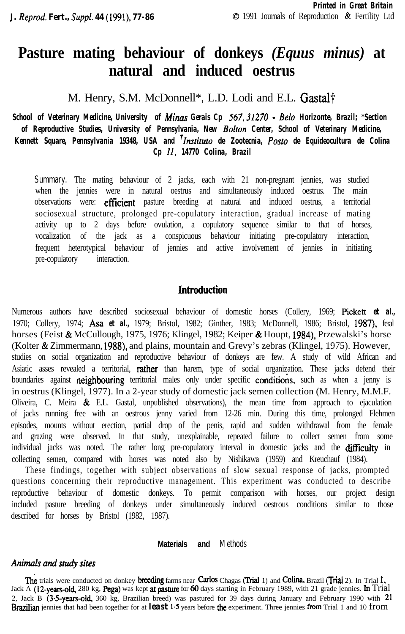# **Pasture mating behaviour of donkeys** *(Equus minus)* **at natural and induced oestrus**

M. Henry, S.M. McDonnell<sup>\*</sup>, L.D. Lodi and E.L. Gastal<sup>†</sup>

*School of Veterinary Medicine, University of Minas Gerais Cp 567,31270 - Belo Horizonte, Brazil; \*Section of Reproductive Studies, University of Pennsylvania, New Bolton Center, School of Veterinary Medicine, Kennett Square, Pennsylvania 19348, USA and ?lnstituto de Zootecnia, Post0 de Equideocultura de Colina Cp II, 14770 Colina, Brazil*

**Summary.** The mating behaviour of 2 jacks, each with 21 non-pregnant jennies, was studied when the jennies were in natural oestrus and simultaneously induced oestrus. The main observations were: efficient pasture breeding at natural and induced oestrus, a territorial sociosexual structure, prolonged pre-copulatory interaction, gradual increase of mating activity up to 2 days before ovulation, a copulatory sequence similar to that of horses, vocalization of the jack as a conspicuous behaviour initiating pre-copulatory interaction, frequent heterotypical behaviour of jennies and active involvement of jennies in initiating pre-copulatory interaction.

# **Introduction**

Numerous authors have described sociosexual behaviour of domestic horses (Collery, 1969; Pickett *et al.,* 1970; Collery, 1974; Asa *et al.,* 1979; Bristol, 1982; Ginther, 1983; McDonnell, 1986; Bristol, 1987), feral horses (Feist & McCullough, 1975, 1976; Klingel, 1982; Keiper & Houpt, 1984), Przewalski's horse (Kolter & Zimmermann, 1988). and plains, mountain and Grevy's zebras (Klingel, 1975). However, studies on social organization and reproductive behaviour of donkeys are few. A study of wild African and Asiatic asses revealed a territorial, **rather** than harem, type of social organization. These jacks defend their boundaries against neighbouring territorial males only under specific conditions, such as when a jenny is in oestrus (Klingel, 1977). In a 2-year study of domestic jack semen collection (M. Henry, M.M.F. Oliveira, C. Meira  $\&$  E.L. Gastal, unpublished observations), the mean time from approach to ejaculation of jacks running free with an oestrous jenny varied from 12-26 min. During this time, prolonged Flehmen episodes, mounts without erection, partial drop of the penis, rapid and sudden withdrawal from the female and grazing were observed. In that study, unexplainable, repeated failure to collect semen from some individual jacks was noted. The rather long pre-copulatory interval in domestic jacks and the difficulty in collecting semen, compared with horses was noted also by Nishikawa (1959) and Kreuchauf (1984).

These findings, together with subject observations of slow sexual response of jacks, prompted questions concerning their reproductive management. This experiment was conducted to describe reproductive behaviour of domestic donkeys. To permit comparison with horses, our project design included pasture breeding of donkeys under simultaneously induced oestrous conditions similar to those described for horses by Bristol (1982, 1987).

## **Materials and Methods**

## *Animalsandstudysites*

The trials were conducted on donkey breeding farms near Carlos Chagas (Trial 1) and Colina, Brazil (Trial 2). In Trial 1, Jack A (12-years-old, 280 kg, Pega) was kept at pasture for 60 days starting in February 1989, with 21 grade jennies. In Trial 2, Jack B (3.5-years-old, 360 kg, Brazilian breed) was pastured for 39 days during January and February 1990 with  $21$ Brazilian jennies that had been together for at *least* 1.5 years before the experiment. Three jennies from Trial 1 and 10 from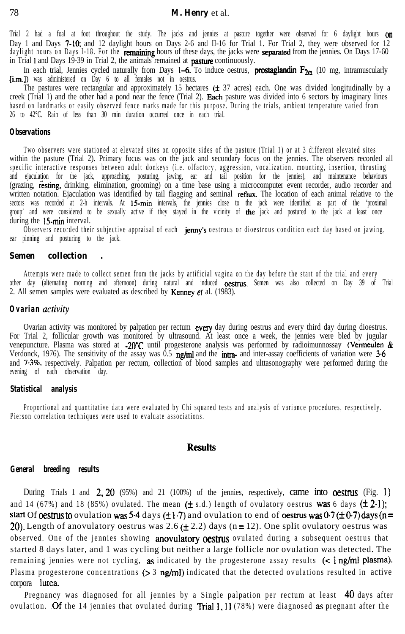Trial 2 had a foal at foot throughout the study. The jacks and jennies at pasture together were observed for 6 daylight hours **on** Day 1 and Days 7-10; and 12 daylight hours on Days 2-6 and II-16 for Trial 1. For Trial 2, they were observed for 12 daylight hours on Days I-18. For the remaining hours of these days, the jacks were separated from the jennies. On Days 17-60 in Trial 1 and Days 19-39 in Trial 2, the animals remained at **pasture** continuously.

In each trial, Jennies cycled naturally from Days 1–6. To induce oestrus, **prostaglandin**  $F_{2\alpha}$  (10 mg, intramuscularly [i.m.]) was administered on Day 6 to all females not in oestrus.

The pastures were rectangular and approximately 15 hectares ( $\pm$  37 acres) each. One was divided longitudinally by a creek (Trial 1) and the other had a pond near the fence (Trial 2). Each pasture was divided into 6 sectors by imaginary lines based on landmarks or easily observed fence marks made for this purpose. During the trials, ambient temperature varied from 26 to 42°C. Rain of less than 30 min duration occurred once in each trial.

#### *Observations*

Two observers were stationed at elevated sites on opposite sides of the pasture (Trial 1) or at 3 different elevated sites within the pasture (Trial 2). Primary focus was on the jack and secondary focus on the jennies. The observers recorded all specific interactive responses between adult donkeys (i.e. olfactory, aggression, vocalization. mounting, insertion, thrusting and ejaculation for the jack, approaching, posturing, jawing, ear and tail position for the jennies), and maintenance behaviours (grazing, resting, drinking, elimination, grooming) on a time base using a microcomputer event recorder, audio recorder and written notation. Ejaculation was identified by tail flagging and seminal reflux. The location of each animal relative to the sectors was recorded at 2-h intervals. At 15-min intervals, the jennies close to the jack were identified as part of the 'proximal group' and were considered to be sexually active if they stayed in the vicinity of the jack and postured to the jack at least once during the 15-min interval.

Observers recorded their subjective appraisal of each **jenny's** oestrous or dioestrous condition each day based on jawing, ear pinning and posturing to the jack.

#### *Semen collection .*

Attempts were made to collect semen from the jacks by artificial vagina on the day before the start of the trial and every other day (alternating morning and afternoon) during natural and induced oestrus. Semen was also collected on Day 39 of Trial 2. All semen samples were evaluated as described by **Kenney et** al.  $(1983)$ .

#### *Ovarian activiry*

Ovarian activity was monitored by palpation per rectum every day during oestrus and every third day during dioestrus. For Trial 2, follicular growth was monitored by ultrasound. At least once a week, the jennies were bled by jugular venepuncture. Plasma was stored at -20°C until progesterone analysis was performed by radioimunnossay (Vermeulen  $\&$ Verdonck, 1976). The sensitivity of the assay was  $\overline{0.5}$  ng/ml and the inter-assay coefficients of variation were 3.6 and 7.3%, respectively. Palpation per rectum, collection of blood samples and ulttasonography were performed during the evening of each observation day.

### *Statistical analysis*

Proportional and quantitative data were evaluated by Chi squared tests and analysis of variance procedures, respectively. Pierson correlation techniques were used to evaluate associations.

## **Results**

#### *General breeding results*

During Trials 1 and  $2,20$  (95%) and 21 (100%) of the jennies, respectively, came into **oestrus** (Fig. 1) and 14 (67%) and 18 (85%) ovulated. The mean  $(\pm s.d.)$  length of ovulatory oestrus **was** 6 days  $(\pm 2.1)$ ; start Of oestrus to ovulation was 5.4 days ( $\pm$ 1.7) and ovulation to end of oestrus was 0.7 ( $\pm$ 0.7) days (n = 20). Length of anovulatory oestrus was 2.6  $(\pm 2.2)$  days (n = 12). One split ovulatory oestrus was observed. One of the jennies showing **anovulatory oestrus** ovulated during a subsequent oestrus that started 8 days later, and 1 was cycling but neither a large follicle nor ovulation was detected. The remaining jennies were not cycling, as indicated by the progesterone assay results  $\leq$  ng/ml plasma). Plasma progesterone concentrations ( $> 3$  ng/ml) indicated that the detected ovulations resulted in active corpora lutea.

Pregnancy was diagnosed for all jennies by a Single palpation per rectum at least 40 days after ovulation. Of the 14 jennies that ovulated during Trial 1,  $11(78%)$  were diagnosed as pregnant after the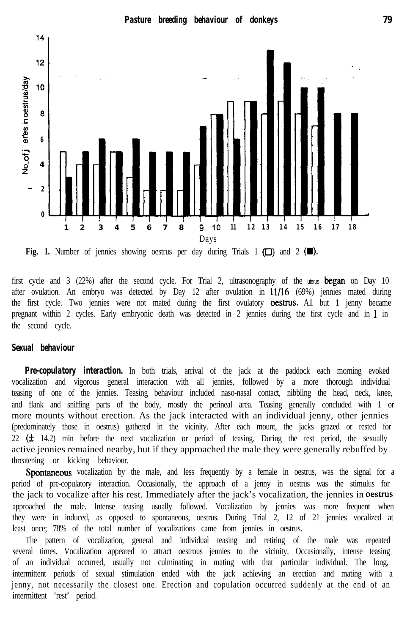*Pasture breeding behaviour of donkeys 79*



**Fig. 1.** Number of jennies showing oestrus per day during Trials  $1$  ( $\square$ ) and  $2$  ( $\square$ ).

first cycle and 3 (22%) after the second cycle. For Trial 2, ultrasonography of the uterus **began** on Day 10 after ovulation. An embryo was detected by Day 12 after ovulation in 11/16 (69%) jennies mated during the first cycle. Two jennies were not mated during the first ovulatory **oestrus.** All but 1 jenny became pregnant within 2 cycles. Early embryonic death was detected in 2 jennies during the first cycle and in 1 in the second cycle.

# *Sexual behaviour*

*Pre-copulatory interaction.* In both trials, arrival of the jack at the paddock each morning evoked vocalization and vigorous general interaction with all jennies, followed by a more thorough individual teasing of one of the jennies. Teasing behaviour included naso-nasal contact, nibbling the head, neck, knee, and flank and sniffing parts of the body, mostly the perineal area. Teasing generally concluded with 1 or more mounts without erection. As the jack interacted with an individual jenny, other jennies (predominately those in oestrus) gathered in the vicinity. After each mount, the jacks grazed or rested for  $22$  ( $\pm$  14.2) min before the next vocalization or period of teasing. During the rest period, the sexually active jennies remained nearby, but if they approached the male they were generally rebuffed by threatening or kicking behaviour.

Spontaneous vocalization by the male, and less frequently by a female in oestrus, was the signal for a period of pre-copulatory interaction. Occasionally, the approach of a jenny in oestrus was the stimulus for the jack to vocalize after his rest. Immediately after the jack's vocalization, the jennies in oestrus approached the male. Intense teasing usually followed. Vocalization by jennies was more frequent when they were in induced, as opposed to spontaneous, oestrus. During Trial 2, 12 of 21 jennies vocalized at least once; 78% of the total number of vocalizations came from jennies in oestrus.

The pattern of vocalization, general and individual teasing and retiring of the male was repeated several times. Vocalization appeared to attract oestrous jennies to the vicinity. Occasionally, intense teasing of an individual occurred, usually not culminating in mating with that particular individual. The long, intermittent periods of sexual stimulation ended with the jack achieving an erection and mating with a jenny, not necessarily the closest one. Erection and copulation occurred suddenly at the end of an intermittent 'rest' period.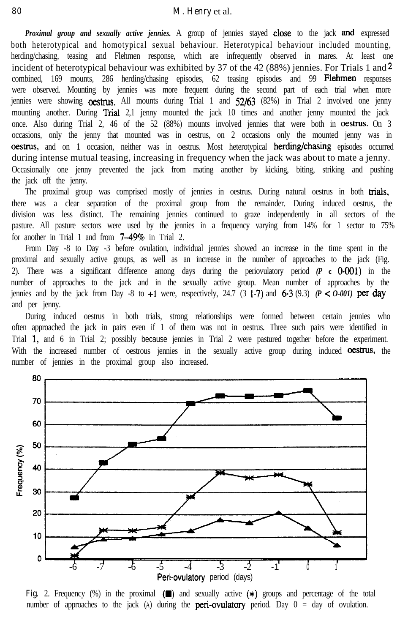*Proximal group and sexually active jennies.* A group of jennies stayed close. to the jack and expressed both heterotypical and homotypical sexual behaviour. Heterotypical behaviour included mounting, herding/chasing, teasing and Flehmen response, which are infrequently observed in mares. At least one incident of heterotypical behaviour was exhibited by 37 of the 42 (88%) jennies. For Trials 1 and  $2$ combined, 169 mounts, 286 herding/chasing episodes, 62 teasing episodes and 99 Flehrnen responses were observed. Mounting by jennies was more frequent during the second part of each trial when more jennies were showing **oestrus**. All mounts during Trial 1 and 52/63 (82%) in Trial 2 involved one jenny mounting another. During Trial 2,1 jenny mounted the jack 10 times and another jenny mounted the jack once. Also during Trial 2, 46 of the 52 (88%) mounts involved jennies that were both in **oestrus.** On 3 occasions, only the jenny that mounted was in oestrus, on 2 occasions only the mounted jenny was in ocstrus, and on 1 occasion, neither was in oestrus. Most heterotypical herding/chasing episodes occurred during intense mutual teasing, increasing in frequency when the jack was about to mate a jenny. Occasionally one jenny prevented the jack from mating another by kicking, biting, striking and pushing the jack off the jenny.

The proximal group was comprised mostly of jennies in oestrus. During natural oestrus in both **tiais,** there was a clear separation of the proximal group from the remainder. During induced oestrus, the division was less distinct. The remaining jennies continued to graze independently in all sectors of the pasture. All pasture sectors were used by the jennies in a frequency varying from 14% for 1 sector to 75% for another in Trial 1 and from 7-49% in Trial 2.

From Day -8 to Day -3 before ovulation, individual jennies showed an increase in the time spent in the proximal and sexually active groups, as well as an increase in the number of approaches to the jack (Fig. 2). There was a significant difference among days during the periovulatory period  $(P \t c \t O_0Q1)$  in the number of approaches to the jack and in the sexually active group. Mean number of approaches by the jennies and by the jack from Day  $-8$  to  $+1$  were, respectively, 24.7 (3 1.7) and 6.3 (9.3) *(P < 0-001)* per day and per jenny.

During induced oestrus in both trials, strong relationships were formed between certain jennies who often approached the jack in pairs even if 1 of them was not in oestrus. Three such pairs were identified in Trial 1, and 6 in Trial 2; possibly because jennies in Trial 2 were pastured together before the experiment. With the increased number of oestrous jennies in the sexually active group during induced **oestrus**, the number of jennies in the proximal group also increased.



Fig. 2. Frequency (%) in the proximal ( $\Box$ ) and sexually active ( $\ast$ ) groups and percentage of the total number of approaches to the jack (A) during the **peri-ovulatory** period. Day  $0 = day$  of ovulation.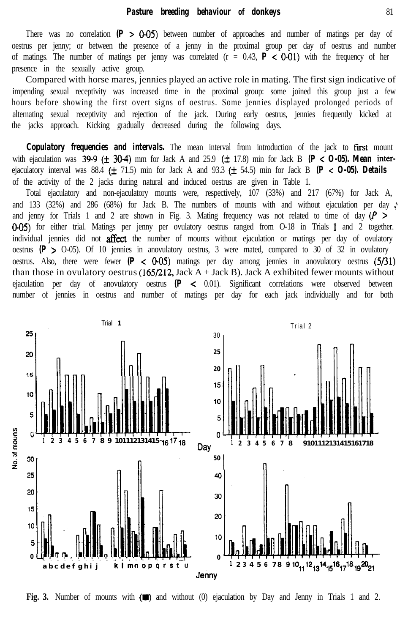There was no correlation  $(P > 0.05)$  between number of approaches and number of matings per day of oestrus per jenny; or between the presence of a jenny in the proximal group per day of oestrus and number of matings. The number of matings per jenny was correlated  $(r = 0.43, P < 0.01)$  with the frequency of her presence in the sexually active group.

Compared with horse mares, jennies played an active role in mating. The first sign indicative of impending sexual receptivity was increased time in the proximal group: some joined this group just a few hours before showing the first overt signs of oestrus. Some jennies displayed prolonged periods of alternating sexual receptivity and rejection of the jack. During early oestrus, jennies frequently kicked at the jacks approach. Kicking gradually decreased during the following days.

**Copulatory frequencies and intervals.** The mean interval from introduction of the jack to first mount with ejaculation was  $39.9$  ( $\pm$  30.4) mm for Jack A and 25.9 ( $\pm$  17.8) min for Jack B *(P < 0-05). Mean* interejaculatory interval was  $88.4 \left(\pm 71.5\right)$  min for Jack A and  $93.3 \left(\pm 54.5\right)$  min for Jack B  $(P < O-05)$ . Details of the activity of the 2 jacks during natural and induced oestrus are given in Table 1.

Total ejaculatory and non-ejaculatory mounts were, respectively, 107 (33%) and 217 (67%) for Jack A, and 133 (32%) and 286 (68%) for Jack B. The numbers of mounts with and without ejaculation per day  $\mathcal{E}$ and jenny for Trials 1 and 2 are shown in Fig. 3. Mating frequency was not related to time of day  $(P >$ O-05) for either trial. Matings per jenny per ovulatory oestrus ranged from O-18 in Trials 1 and 2 together. individual jennies did not **affect** the number of mounts without ejaculation or matings per day of ovulatory oestrus  $(P > 0.05)$ . Of 10 jennies in anovulatory oestrus, 3 were mated, compared to 30 of 32 in ovulatory oestrus. Also, there were fewer  $(P < 0.05)$  matings per day among jennies in anovulatory oestrus  $(5/31)$ than those in ovulatory oestrus  $(165/212, \text{Jack A} + \text{Jack B})$ . Jack A exhibited fewer mounts without ejaculation per day of anovulatory oestrus  $(P \le 0.01)$ . Significant correlations were observed between number of jennies in oestrus and number of matings per day for each jack individually and for both



**Fig. 3.** Number of mounts with  $(\blacksquare)$  and without (0) ejaculation by Day and Jenny in Trials 1 and 2.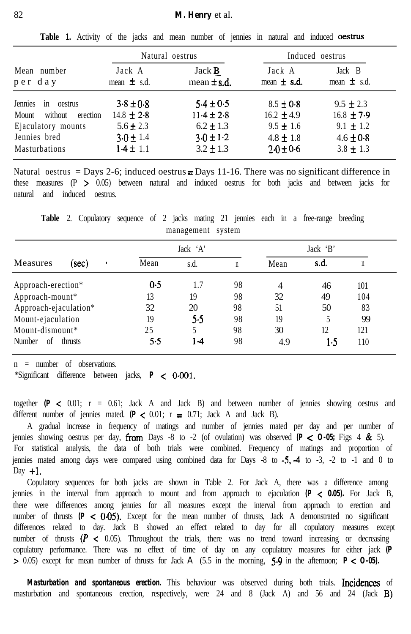|                                                                                                                 | Natural oestrus                                                                    |                                                                                    | Induced oestrus                                                                    |                                                                                    |
|-----------------------------------------------------------------------------------------------------------------|------------------------------------------------------------------------------------|------------------------------------------------------------------------------------|------------------------------------------------------------------------------------|------------------------------------------------------------------------------------|
| Mean number<br>per day                                                                                          | Jack A<br>mean $\pm$ s.d.                                                          | Jack <b>B</b><br>mean $\pm$ s.d.                                                   | Jack A<br>mean $\pm$ s.d.                                                          | Jack B<br>mean $\pm$ s.d.                                                          |
| Jennies<br>oestrus<br>1n<br>Mount<br>without<br>erection<br>Ejaculatory mounts<br>Jennies bred<br>Masturbations | $3.8 \pm 0.8$<br>$14.8 \pm 2.8$<br>$5.6 \pm 2.3$<br>$3.0 \pm 1.4$<br>$1.4 \pm 1.1$ | $5.4 \pm 0.5$<br>$11.4 \pm 2.8$<br>$6.2 \pm 1.3$<br>$3.0 \pm 1.2$<br>$3.2 \pm 1.3$ | $8.5 \pm 0.8$<br>16.2 $\pm$ 4.9<br>$9.5 \pm 1.6$<br>$4.8 \pm 1.8$<br>$2.0 \pm 0.6$ | $9.5 \pm 2.3$<br>$16.8 \pm 7.9$<br>9.1 $\pm$ 1.2<br>$4.6 \pm 0.8$<br>$3.8 \pm 1.3$ |

Table 1. Activity of the jacks and mean number of jennies in natural and induced oestrus

Natural oestrus = Days 2-6; induced oestrus  $\equiv$  Days 11-16. There was no significant difference in these measures  $(P > 0.05)$  between natural and induced oestrus for both jacks and between jacks for natural and induced oestrus.

Measures (sec) Jack 'A' Jack 'B' Mean s.d. n Mean **s.d.** n Approach-erection\* **0.5** 1.7 98 4 46 101 Approach-mount\* 13 19 98 32 49 104 Approach-ejaculation\* 32 20 98 51 50 83 Mount-ejaculation 19 5.5 98 19 5 99 Mount-dismount\* 25 5 98 30 12 121 Number of thrusts 5.5 1.4 98 4.9 1.5 110

**Table** 2. Copulatory sequence of 2 jacks mating 21 jennies each in a free-range breeding management system

n = number of observations.

\*Significant difference between jacks, *P <* OGOl.

together  $(P \le 0.01$ ;  $r = 0.61$ ; Jack A and Jack B) and between number of jennies showing oestrus and different number of jennies mated.  $(P \le 0.01; r = 0.71;$  Jack A and Jack B).

A gradual increase in frequency of matings and number of jennies mated per day and per number of jennies showing oestrus per day, **from** Days -8 to -2 (of ovulation) was observed  $(P < 0.05$ ; Figs 4 & 5). For statistical analysis, the data of both trials were combined. Frequency of matings and proportion of jennies mated among days were compared using combined data for Days  $-8$  to  $-5$ ,  $-4$  to  $-3$ ,  $-2$  to  $-1$  and 0 to Day  $+1$ .

Copulatory sequences for both jacks are shown in Table 2. For Jack A, there was a difference among jennies in the interval from approach to mount and from approach to ejaculation *(P < 0.05).* For Jack B, there were differences among jennies for all measures except the interval from approach to erection and number of thrusts  $(P < 0.05)$ . Except for the mean number of thrusts, Jack A demonstrated no significant differences related to day. Jack B showed an effect related to day for all copulatory measures except number of thrusts  $(P < 0.05)$ . Throughout the trials, there was no trend toward increasing or decreasing copulatory performance. There was no effect of time of day on any copulatory measures for either jack *(P* > 0.05) except for mean number of thrusts for Jack A (5.5 in the morning, 5.9 in the afternoon; *P C O-05).*

*Masturbation and spontaneous erection.* This behaviour was observed during both trials. Incidences of masturbation and spontaneous erection, respectively, were 24 and 8 (Jack A) and 56 and 24 (Jack B)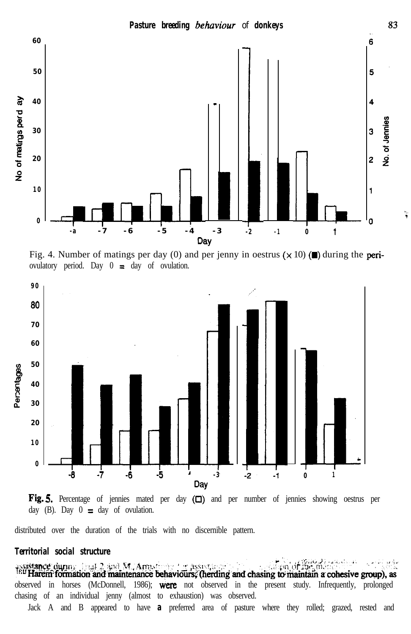

Fig. 4. Number of matings per day (0) and per jenny in oestrus  $(\times 10)$  ( $\blacksquare$ ) during the periovulatory period. Day  $0 \equiv$  day of ovulation.





distributed over the duration of the trials with no discernible pattern.

## *Territorial social structure*

*- ',* istance during final 2 and M. Amustophe for assistinger m. **The Harem formation and maintenance behaviours, therding and chasing to maintain a cohesive group), as** observed in horses (McDonnell, 1986); were not observed in the present study. Infrequently, prolonged chasing of an individual jenny (almost to exhaustion) was observed.

Jack A and B appeared to have *a* preferred area of pasture where they rolled; grazed, rested and

83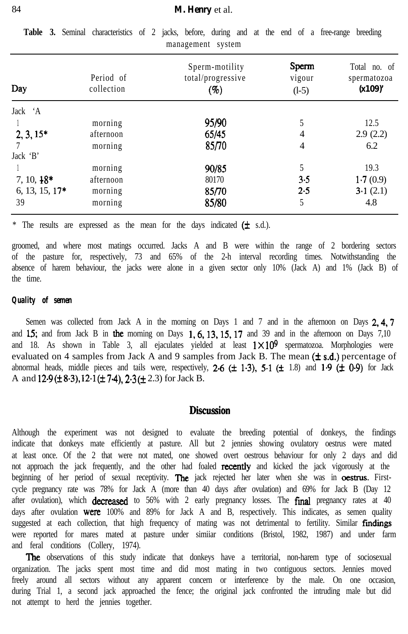| Day              | Period of<br>collection | Sperm-motility<br>total/progressive<br>$( \% )$ | Sperm<br>vigour<br>$(1-5)$ | Total no. of<br>spermatozoa<br>(x109)' |
|------------------|-------------------------|-------------------------------------------------|----------------------------|----------------------------------------|
| Jack 'A          |                         |                                                 |                            |                                        |
|                  | morning                 | 95/90                                           |                            | 12.5                                   |
| $2, 3, 15*$      | afternoon               | 65/45                                           | 4                          | 2.9(2.2)                               |
|                  | morning                 | 85/70                                           | 4                          | 6.2                                    |
| Jack 'B'         |                         |                                                 |                            |                                        |
|                  | morning                 | 90/85                                           | 5                          | 19.3                                   |
| $7, 10, 18*$     | afternoon               | 80170                                           | 3.5                        | 1.7(0.9)                               |
| $6, 13, 15, 17*$ | morning                 | 85/70                                           | 2.5                        | 3.1(2.1)                               |
| 39               | morning                 | 85/80                                           | 5                          | 4.8                                    |

**Table 3.** Seminal characteristics of 2 jacks, before, during and at the end of a free-range breeding management system

\* The results are expressed as the mean for the days indicated  $(\pm s.d.)$ .

groomed, and where most matings occurred. Jacks A and B were within the range of 2 bordering sectors of the pasture for, respectively, 73 and 65% of the 2-h interval recording times. Notwithstanding the absence of harem behaviour, the jacks were alone in a given sector only 10% (Jack A) and 1% (Jack B) of the time.

### *Quality of semen*

Semen was collected from Jack A in the morning on Days 1 and 7 and in the afternoon on Days 2, 4, 7 and  $15$ ; and from Jack B in the morning on Days  $1, 6, 13, 15, 17$  and 39 and in the afternoon on Days 7,10 and 18. As shown in Table 3, all ejaculates yielded at least  $1 \times 10^9$  spermatozoa. Morphologies were evaluated on 4 samples from Jack A and 9 samples from Jack B. The mean  $(\pm s.d.)$  percentage of abnormal heads, middle pieces and tails were, respectively, 2.6  $(\pm 1.3)$ , 5.1  $(\pm 1.8)$  and 1.9  $(\pm 0.9)$  for Jack A and  $12.9 (\pm 8.3), 12.1 (\pm 7.4), 2.3 (\pm 2.3)$  for Jack B.

# **Discussion**

Although the experiment was not designed to evaluate the breeding potential of donkeys, the findings indicate that donkeys mate efficiently at pasture. All but 2 jennies showing ovulatory oestrus were mated at least once. Of the 2 that were not mated, one showed overt oestrous behaviour for only 2 days and did not approach the jack frequently, and the other had foaled **recently** and kicked the jack vigorously at the beginning of her period of sexual receptivity. The jack rejected her later when she was in oestrus. Firstcycle pregnancy rate was 78% for Jack A (more than 40 days after ovulation) and 69% for Jack B (Day 12 after ovulation), which **decreased** to  $56\%$  with 2 early pregnancy losses. The **final** pregnancy rates at  $40$ days after ovulation **were** 100% and 89% for Jack A and B, respectively. This indicates, as semen quality suggested at each collection, that high frequency of mating was not detrimental to fertility. Similar findings were reported for mares mated at pasture under simiiar conditions (Bristol, 1982, 1987) and under farm and feral conditions (Collery, 1974).

The observations of this study indicate that donkeys have a territorial, non-harem type of sociosexual organization. The jacks spent most time and did most mating in two contiguous sectors. Jennies moved freely around all sectors without any apparent concern or interference by the male. On one occasion, during Trial 1, a second jack approached the fence; the original jack confronted the intruding male but did not attempt to herd the jennies together.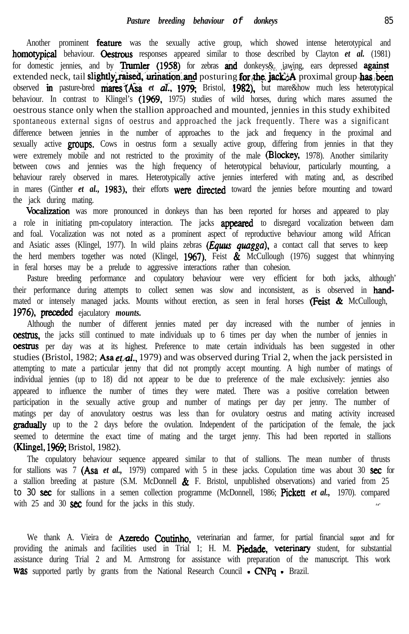Another prominent **feature** was the sexually active group, which showed intense heterotypical and homotypical behaviour. Gestrous responses appeared similar to those described by Clayton *et al.* (1981) for domestic jennies, and by Trumler (1958) for zebras and donkeys& jawing, ears depressed against extended neck, tail slightly, raised, urination and posturing for the jack +A proximal group has been observed 'm pasture-bred maresi(Asa *et d:, 1979;* Bristol, 4982), but mare&how much less heterotypical behaviour. In contrast to Klingel's (1969, 1975) studies of wild horses, during which mares assumed the oestrous stance only when the stallion approached and mounted, jennies in this study exhibited spontaneous external signs of oestrus and approached the jack frequently. There was a significant difference between jennies in the number of approaches to the jack and frequency in the proximal and sexually active groups. Cows in oestrus form a sexually active group, differing from jennies in that they were extremely mobile and not restricted to the proximity of the male (Blockey, 1978). Another similarity between cows and jennies was the high frequency of heterotypical behaviour, particularly mounting, a behaviour rarely observed in mares. Heterotypically active jennies interfered with mating and, as described in mares (Ginther *et al.*, 1983), their efforts were directed toward the jennies before mounting and toward the jack during mating.

Vocalization was more pronounced in donkeys than has been reported for horses and appeared to play a role in initiating pm-copulatory interaction. The jacks **appeared** to disregard vocalization between dam and foal. Vocalization was not noted as a prominent aspect of reproductive behaviour among wild African and Asiatic asses (Klingel, 1977). In wild plains zebras *(Equs quagga),* a contact call that serves to keep the herd members together was noted (Klingel, 1967). Feist  $\&$  McCullough (1976) suggest that whinnying in feral horses may be a prelude to aggressive interactions rather than cohesion.

Pasture breeding performance and copulatory behaviour were very efficient for both jacks, although' their performance during attempts to collect semen was slow and inconsistent, as is observed in **hand**mated or intensely managed jacks. Mounts without erection, as seen in feral horses (Feist & McCullough, 1976), preceded ejaculatory *mounts*.

Although the number of different jennies mated per day increased with the number of jennies in **oestrus**, the jacks still continued to mate individuals up to 6 times per day when the number of jennies in **oestrus** per day was at its highest. Preference to mate certain individuals has been suggested in other studies (Bristol, 1982; Asa et al., 1979) and was observed during Trial 2, when the jack persisted in attempting to mate a particular jenny that did not promptly accept mounting. A high number of matings of individual jennies (up to 18) did not appear to be due to preference of the male exclusively: jennies also appeared to influence the number of times they were mated. There was a positive correlation between participation in the sexually active group and number of matings per day per jenny. The number of matings per day of anovulatory oestrus was less than for ovulatory oestrus and mating activity increased **gradually** up to the 2 days before the ovulation. Independent of the participation of the female, the jack seemed to determine the exact time of mating and the target jenny. This had been reported in stallions **(Klingel, 1969; Bristol, 1982).** 

The copulatory behaviour sequence appeared similar to that of stallions. The mean number of thrusts for stallions was 7 (Asa *et al.*, 1979) compared with 5 in these jacks. Copulation time was about 30 sec for a stallion breeding at pasture (S.M. McDonnell  $\&$  F. Bristol, unpublished observations) and varied from 25 to 30 **sec** for stallions in a semen collection programme (McDonnell, 1986; Pickett *et al.*, 1970). compared with 25 and 30 **sec** found for the jacks in this study.

We thank A. Vieira de **Azeredo Coutinho**, veterinarian and farmer, for partial financial support and for providing the animals and facilities used in Trial 1; H. M. Piedade, veterinary student, for substantial assistance during Trial 2 and M. Armstrong for assistance with preparation of the manuscript. This work Was supported partly by grants from the National Research Council - CNPq - Brazil.